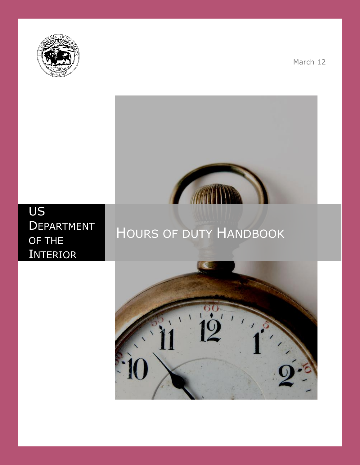

March 12



# US **DEPARTMENT** OF THE **INTERIOR**

# HOURS OF DUTY HANDBOOK

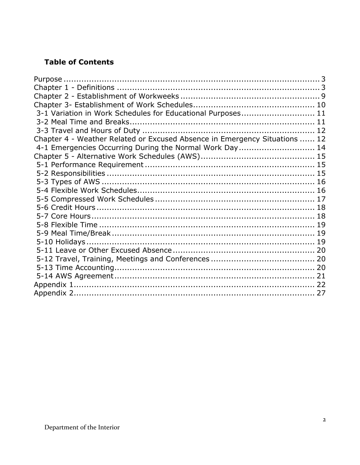# **Table of Contents**

| 3-1 Variation in Work Schedules for Educational Purposes 11                |  |
|----------------------------------------------------------------------------|--|
|                                                                            |  |
|                                                                            |  |
| Chapter 4 - Weather Related or Excused Absence in Emergency Situations  12 |  |
| 4-1 Emergencies Occurring During the Normal Work Day 14                    |  |
|                                                                            |  |
|                                                                            |  |
|                                                                            |  |
|                                                                            |  |
|                                                                            |  |
|                                                                            |  |
|                                                                            |  |
|                                                                            |  |
|                                                                            |  |
|                                                                            |  |
|                                                                            |  |
|                                                                            |  |
|                                                                            |  |
|                                                                            |  |
|                                                                            |  |
|                                                                            |  |
|                                                                            |  |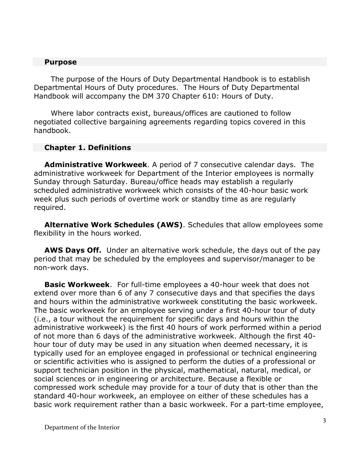#### **Purpose**

The purpose of the Hours of Duty Departmental Handbook is to establish Departmental Hours of Duty procedures. The Hours of Duty Departmental Handbook will accompany the DM 370 Chapter 610: Hours of Duty.

Where labor contracts exist, bureaus/offices are cautioned to follow negotiated collective bargaining agreements regarding topics covered in this handbook.

#### **Chapter 1. Definitions**

**Administrative Workweek**. A period of 7 consecutive calendar days. The administrative workweek for Department of the Interior employees is normally Sunday through Saturday. Bureau/office heads may establish a regularly scheduled administrative workweek which consists of the 40-hour basic work week plus such periods of overtime work or standby time as are regularly required.

**Alternative Work Schedules (AWS)**. Schedules that allow employees some flexibility in the hours worked.

**AWS Days Off.** Under an alternative work schedule, the days out of the pay period that may be scheduled by the employees and supervisor/manager to be non-work days.

**Basic Workweek**. For full-time employees a 40-hour week that does not extend over more than 6 of any 7 consecutive days and that specifies the days and hours within the administrative workweek constituting the basic workweek. The basic workweek for an employee serving under a first 40-hour tour of duty (i.e., a tour without the requirement for specific days and hours within the administrative workweek) is the first 40 hours of work performed within a period of not more than 6 days of the administrative workweek. Although the first 40 hour tour of duty may be used in any situation when deemed necessary, it is typically used for an employee engaged in professional or technical engineering or scientific activities who is assigned to perform the duties of a professional or support technician position in the physical, mathematical, natural, medical, or social sciences or in engineering or architecture. Because a flexible or compressed work schedule may provide for a tour of duty that is other than the standard 40-hour workweek, an employee on either of these schedules has a basic work requirement rather than a basic workweek. For a part-time employee,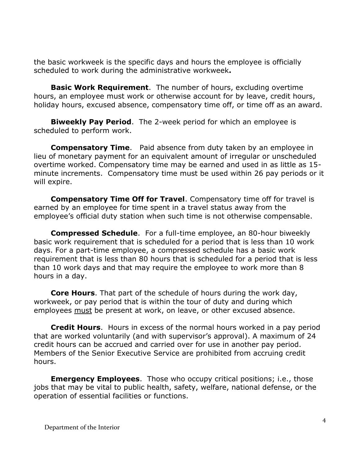the basic workweek is the specific days and hours the employee is officially scheduled to work during the administrative workweek**.**

**Basic Work Requirement**. The number of hours, excluding overtime hours, an employee must work or otherwise account for by leave, credit hours, holiday hours, excused absence, compensatory time off, or time off as an award.

**Biweekly Pay Period**. The 2-week period for which an employee is scheduled to perform work.

**Compensatory Time**. Paid absence from duty taken by an employee in lieu of monetary payment for an equivalent amount of irregular or unscheduled overtime worked. Compensatory time may be earned and used in as little as 15 minute increments. Compensatory time must be used within 26 pay periods or it will expire.

**Compensatory Time Off for Travel**. Compensatory time off for travel is earned by an employee for time spent in a travel status away from the employee's official duty station when such time is not otherwise compensable.

**Compressed Schedule**. For a full-time employee, an 80-hour biweekly basic work requirement that is scheduled for a period that is less than 10 work days. For a part-time employee, a compressed schedule has a basic work requirement that is less than 80 hours that is scheduled for a period that is less than 10 work days and that may require the employee to work more than 8 hours in a day.

**Core Hours**. That part of the schedule of hours during the work day, workweek, or pay period that is within the tour of duty and during which employees must be present at work, on leave, or other excused absence.

**Credit Hours**. Hours in excess of the normal hours worked in a pay period that are worked voluntarily (and with supervisor's approval). A maximum of 24 credit hours can be accrued and carried over for use in another pay period. Members of the Senior Executive Service are prohibited from accruing credit hours.

**Emergency Employees.** Those who occupy critical positions; i.e., those jobs that may be vital to public health, safety, welfare, national defense, or the operation of essential facilities or functions.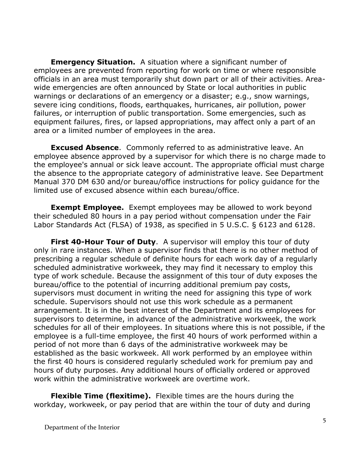**Emergency Situation.** A situation where a significant number of employees are prevented from reporting for work on time or where responsible officials in an area must temporarily shut down part or all of their activities. Areawide emergencies are often announced by State or local authorities in public warnings or declarations of an emergency or a disaster; e.g., snow warnings, severe icing conditions, floods, earthquakes, hurricanes, air pollution, power failures, or interruption of public transportation. Some emergencies, such as equipment failures, fires, or lapsed appropriations, may affect only a part of an area or a limited number of employees in the area.

**Excused Absence.** Commonly referred to as administrative leave. An employee absence approved by a supervisor for which there is no charge made to the employee's annual or sick leave account. The appropriate official must charge the absence to the appropriate category of administrative leave. See Department Manual 370 DM 630 and/or bureau/office instructions for policy guidance for the limited use of excused absence within each bureau/office.

**Exempt Employee.** Exempt employees may be allowed to work beyond their scheduled 80 hours in a pay period without compensation under the Fair Labor Standards Act (FLSA) of 1938, as specified in 5 U.S.C. § 6123 and 6128.

**First 40-Hour Tour of Duty.** A supervisor will employ this tour of duty only in rare instances. When a supervisor finds that there is no other method of prescribing a regular schedule of definite hours for each work day of a regularly scheduled administrative workweek, they may find it necessary to employ this type of work schedule. Because the assignment of this tour of duty exposes the bureau/office to the potential of incurring additional premium pay costs, supervisors must document in writing the need for assigning this type of work schedule. Supervisors should not use this work schedule as a permanent arrangement. It is in the best interest of the Department and its employees for supervisors to determine, in advance of the administrative workweek, the work schedules for all of their employees. In situations where this is not possible, if the employee is a full-time employee, the first 40 hours of work performed within a period of not more than 6 days of the administrative workweek may be established as the basic workweek. All work performed by an employee within the first 40 hours is considered regularly scheduled work for premium pay and hours of duty purposes. Any additional hours of officially ordered or approved work within the administrative workweek are overtime work.

**Flexible Time (flexitime).** Flexible times are the hours during the workday, workweek, or pay period that are within the tour of duty and during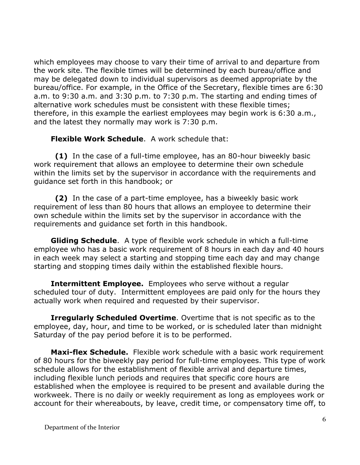which employees may choose to vary their time of arrival to and departure from the work site. The flexible times will be determined by each bureau/office and may be delegated down to individual supervisors as deemed appropriate by the bureau/office. For example, in the Office of the Secretary, flexible times are 6:30 a.m. to 9:30 a.m. and 3:30 p.m. to 7:30 p.m. The starting and ending times of alternative work schedules must be consistent with these flexible times; therefore, in this example the earliest employees may begin work is 6:30 a.m., and the latest they normally may work is 7:30 p.m.

**Flexible Work Schedule**. A work schedule that:

**(1)** In the case of a full-time employee, has an 80-hour biweekly basic work requirement that allows an employee to determine their own schedule within the limits set by the supervisor in accordance with the requirements and guidance set forth in this handbook; or

**(2)** In the case of a part-time employee, has a biweekly basic work requirement of less than 80 hours that allows an employee to determine their own schedule within the limits set by the supervisor in accordance with the requirements and guidance set forth in this handbook.

**Gliding Schedule**. A type of flexible work schedule in which a full-time employee who has a basic work requirement of 8 hours in each day and 40 hours in each week may select a starting and stopping time each day and may change starting and stopping times daily within the established flexible hours.

**Intermittent Employee.** Employees who serve without a regular scheduled tour of duty. Intermittent employees are paid only for the hours they actually work when required and requested by their supervisor.

**Irregularly Scheduled Overtime**. Overtime that is not specific as to the employee, day, hour, and time to be worked, or is scheduled later than midnight Saturday of the pay period before it is to be performed.

**Maxi-flex Schedule.** Flexible work schedule with a basic work requirement of 80 hours for the biweekly pay period for full-time employees. This type of work schedule allows for the establishment of flexible arrival and departure times, including flexible lunch periods and requires that specific core hours are established when the employee is required to be present and available during the workweek. There is no daily or weekly requirement as long as employees work or account for their whereabouts, by leave, credit time, or compensatory time off, to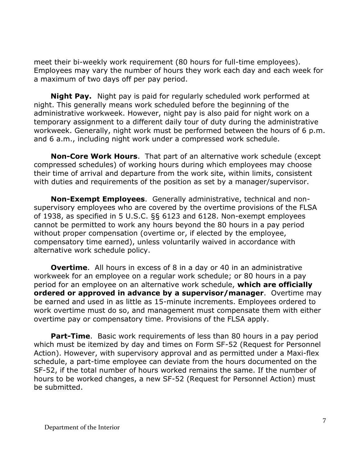meet their bi-weekly work requirement (80 hours for full-time employees). Employees may vary the number of hours they work each day and each week for a maximum of two days off per pay period.

 **Night Pay.** Night pay is paid for regularly scheduled work performed at night. This generally means work scheduled before the beginning of the administrative workweek. However, night pay is also paid for night work on a temporary assignment to a different daily tour of duty during the administrative workweek. Generally, night work must be performed between the hours of 6 p.m. and 6 a.m., including night work under a compressed work schedule.

**Non-Core Work Hours**. That part of an alternative work schedule (except compressed schedules) of working hours during which employees may choose their time of arrival and departure from the work site, within limits, consistent with duties and requirements of the position as set by a manager/supervisor.

**Non-Exempt Employees**. Generally administrative, technical and nonsupervisory employees who are covered by the overtime provisions of the FLSA of 1938, as specified in 5 U.S.C. §§ 6123 and 6128. Non-exempt employees cannot be permitted to work any hours beyond the 80 hours in a pay period without proper compensation (overtime or, if elected by the employee, compensatory time earned), unless voluntarily waived in accordance with alternative work schedule policy.

**Overtime.** All hours in excess of 8 in a day or 40 in an administrative workweek for an employee on a regular work schedule; or 80 hours in a pay period for an employee on an alternative work schedule, **which are officially ordered or approved in advance by a supervisor/manager**. Overtime may be earned and used in as little as 15-minute increments. Employees ordered to work overtime must do so, and management must compensate them with either overtime pay or compensatory time. Provisions of the FLSA apply.

**Part-Time.** Basic work requirements of less than 80 hours in a pay period which must be itemized by day and times on Form SF-52 (Request for Personnel Action). However, with supervisory approval and as permitted under a Maxi-flex schedule, a part-time employee can deviate from the hours documented on the SF-52, if the total number of hours worked remains the same. If the number of hours to be worked changes, a new SF-52 (Request for Personnel Action) must be submitted.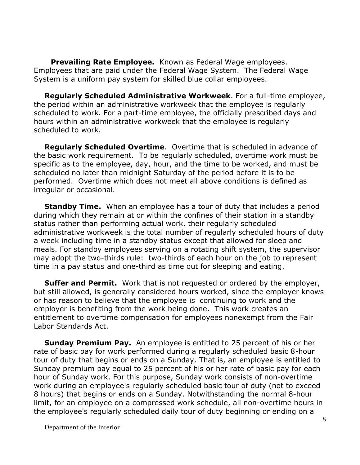**Prevailing Rate Employee.** Known as Federal Wage employees. Employees that are paid under the Federal Wage System. The Federal Wage System is a uniform pay system for skilled blue collar employees.

**Regularly Scheduled Administrative Workweek**. For a full-time employee, the period within an administrative workweek that the employee is regularly scheduled to work. For a part-time employee, the officially prescribed days and hours within an administrative workweek that the employee is regularly scheduled to work.

**Regularly Scheduled Overtime**. Overtime that is scheduled in advance of the basic work requirement. To be regularly scheduled, overtime work must be specific as to the employee, day, hour, and the time to be worked, and must be scheduled no later than midnight Saturday of the period before it is to be performed. Overtime which does not meet all above conditions is defined as irregular or occasional.

**Standby Time.** When an employee has a tour of duty that includes a period during which they remain at or within the confines of their station in a standby status rather than performing actual work, their regularly scheduled administrative workweek is the total number of regularly scheduled hours of duty a week including time in a standby status except that allowed for sleep and meals. For standby employees serving on a rotating shift system, the supervisor may adopt the two-thirds rule: two-thirds of each hour on the job to represent time in a pay status and one-third as time out for sleeping and eating.

**Suffer and Permit.** Work that is not requested or ordered by the employer, but still allowed, is generally considered hours worked, since the employer knows or has reason to believe that the employee is continuing to work and the employer is benefiting from the work being done. This work creates an entitlement to overtime compensation for employees nonexempt from the Fair Labor Standards Act.

**Sunday Premium Pay.** An employee is entitled to 25 percent of his or her rate of basic pay for work performed during a regularly scheduled basic 8-hour tour of duty that begins or ends on a Sunday. That is, an employee is entitled to Sunday premium pay equal to 25 percent of his or her rate of basic pay for each hour of Sunday work. For this purpose, Sunday work consists of non-overtime work during an employee's regularly scheduled basic tour of duty (not to exceed 8 hours) that begins or ends on a Sunday. Notwithstanding the normal 8-hour limit, for an employee on a compressed work schedule, all non-overtime hours in the employee's regularly scheduled daily tour of duty beginning or ending on a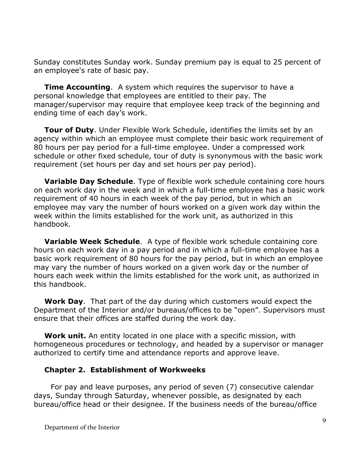Sunday constitutes Sunday work. Sunday premium pay is equal to 25 percent of an employee's rate of basic pay.

**Time Accounting.** A system which requires the supervisor to have a personal knowledge that employees are entitled to their pay. The manager/supervisor may require that employee keep track of the beginning and ending time of each day's work.

**Tour of Duty**. Under Flexible Work Schedule, identifies the limits set by an agency within which an employee must complete their basic work requirement of 80 hours per pay period for a full-time employee. Under a compressed work schedule or other fixed schedule, tour of duty is synonymous with the basic work requirement (set hours per day and set hours per pay period).

**Variable Day Schedule**. Type of flexible work schedule containing core hours on each work day in the week and in which a full-time employee has a basic work requirement of 40 hours in each week of the pay period, but in which an employee may vary the number of hours worked on a given work day within the week within the limits established for the work unit, as authorized in this handbook.

**Variable Week Schedule**. A type of flexible work schedule containing core hours on each work day in a pay period and in which a full-time employee has a basic work requirement of 80 hours for the pay period, but in which an employee may vary the number of hours worked on a given work day or the number of hours each week within the limits established for the work unit, as authorized in this handbook.

**Work Day**. That part of the day during which customers would expect the Department of the Interior and/or bureaus/offices to be "open". Supervisors must ensure that their offices are staffed during the work day.

**Work unit.** An entity located in one place with a specific mission, with homogeneous procedures or technology, and headed by a supervisor or manager authorized to certify time and attendance reports and approve leave.

#### **Chapter 2. Establishment of Workweeks**

For pay and leave purposes, any period of seven (7) consecutive calendar days, Sunday through Saturday, whenever possible, as designated by each bureau/office head or their designee. If the business needs of the bureau/office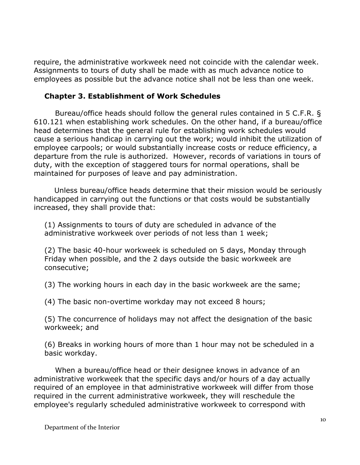require, the administrative workweek need not coincide with the calendar week. Assignments to tours of duty shall be made with as much advance notice to employees as possible but the advance notice shall not be less than one week.

### **Chapter 3. Establishment of Work Schedules**

Bureau/office heads should follow the general rules contained in 5 C.F.R. § 610.121 when establishing work schedules. On the other hand, if a bureau/office head determines that the general rule for establishing work schedules would cause a serious handicap in carrying out the work; would inhibit the utilization of employee carpools; or would substantially increase costs or reduce efficiency, a departure from the rule is authorized. However, records of variations in tours of duty, with the exception of staggered tours for normal operations, shall be maintained for purposes of leave and pay administration.

 Unless bureau/office heads determine that their mission would be seriously handicapped in carrying out the functions or that costs would be substantially increased, they shall provide that:

(1) Assignments to tours of duty are scheduled in advance of the administrative workweek over periods of not less than 1 week;

(2) The basic 40-hour workweek is scheduled on 5 days, Monday through Friday when possible, and the 2 days outside the basic workweek are consecutive;

(3) The working hours in each day in the basic workweek are the same;

(4) The basic non-overtime workday may not exceed 8 hours;

(5) The concurrence of holidays may not affect the designation of the basic workweek; and

(6) Breaks in working hours of more than 1 hour may not be scheduled in a basic workday.

When a bureau/office head or their designee knows in advance of an administrative workweek that the specific days and/or hours of a day actually required of an employee in that administrative workweek will differ from those required in the current administrative workweek, they will reschedule the employee's regularly scheduled administrative workweek to correspond with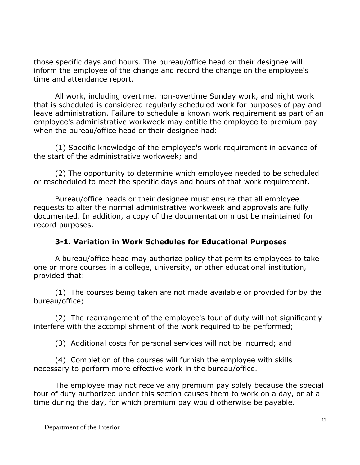those specific days and hours. The bureau/office head or their designee will inform the employee of the change and record the change on the employee's time and attendance report.

All work, including overtime, non-overtime Sunday work, and night work that is scheduled is considered regularly scheduled work for purposes of pay and leave administration. Failure to schedule a known work requirement as part of an employee's administrative workweek may entitle the employee to premium pay when the bureau/office head or their designee had:

(1) Specific knowledge of the employee's work requirement in advance of the start of the administrative workweek; and

(2) The opportunity to determine which employee needed to be scheduled or rescheduled to meet the specific days and hours of that work requirement.

Bureau/office heads or their designee must ensure that all employee requests to alter the normal administrative workweek and approvals are fully documented. In addition, a copy of the documentation must be maintained for record purposes.

# **3-1. Variation in Work Schedules for Educational Purposes**

A bureau/office head may authorize policy that permits employees to take one or more courses in a college, university, or other educational institution, provided that:

(1) The courses being taken are not made available or provided for by the bureau/office;

(2) The rearrangement of the employee's tour of duty will not significantly interfere with the accomplishment of the work required to be performed;

(3) Additional costs for personal services will not be incurred; and

(4) Completion of the courses will furnish the employee with skills necessary to perform more effective work in the bureau/office.

The employee may not receive any premium pay solely because the special tour of duty authorized under this section causes them to work on a day, or at a time during the day, for which premium pay would otherwise be payable.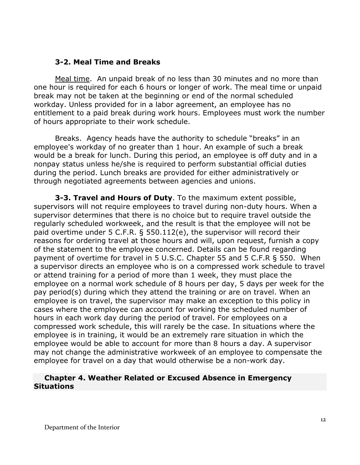#### **3-2. Meal Time and Breaks**

Meal time. An unpaid break of no less than 30 minutes and no more than one hour is required for each 6 hours or longer of work. The meal time or unpaid break may not be taken at the beginning or end of the normal scheduled workday. Unless provided for in a labor agreement, an employee has no entitlement to a paid break during work hours. Employees must work the number of hours appropriate to their work schedule.

Breaks. Agency heads have the authority to schedule "breaks" in an employee's workday of no greater than 1 hour. An example of such a break would be a break for lunch. During this period, an employee is off duty and in a nonpay status unless he/she is required to perform substantial official duties during the period. Lunch breaks are provided for either administratively or through negotiated agreements between agencies and unions.

**3-3. Travel and Hours of Duty**. To the maximum extent possible, supervisors will not require employees to travel during non-duty hours. When a supervisor determines that there is no choice but to require travel outside the regularly scheduled workweek, and the result is that the employee will not be paid overtime under 5 C.F.R. § 550.112(e), the supervisor will record their reasons for ordering travel at those hours and will, upon request, furnish a copy of the statement to the employee concerned. Details can be found regarding payment of overtime for travel in 5 U.S.C. Chapter 55 and 5 C.F.R § 550. When a supervisor directs an employee who is on a compressed work schedule to travel or attend training for a period of more than 1 week, they must place the employee on a normal work schedule of 8 hours per day, 5 days per week for the pay period(s) during which they attend the training or are on travel. When an employee is on travel, the supervisor may make an exception to this policy in cases where the employee can account for working the scheduled number of hours in each work day during the period of travel. For employees on a compressed work schedule, this will rarely be the case. In situations where the employee is in training, it would be an extremely rare situation in which the employee would be able to account for more than 8 hours a day. A supervisor may not change the administrative workweek of an employee to compensate the employee for travel on a day that would otherwise be a non-work day.

#### **Chapter 4. Weather Related or Excused Absence in Emergency Situations**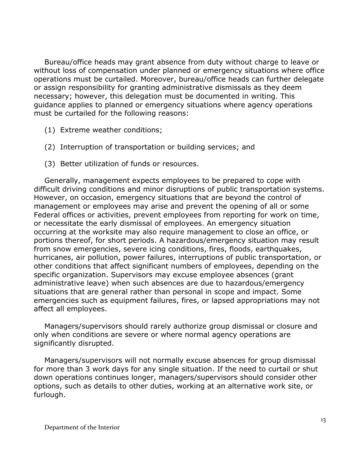Bureau/office heads may grant absence from duty without charge to leave or without loss of compensation under planned or emergency situations where office operations must be curtailed. Moreover, bureau/office heads can further delegate or assign responsibility for granting administrative dismissals as they deem necessary; however, this delegation must be documented in writing. This guidance applies to planned or emergency situations where agency operations must be curtailed for the following reasons:

- (1) Extreme weather conditions;
- (2) Interruption of transportation or building services; and
- (3) Better utilization of funds or resources.

Generally, management expects employees to be prepared to cope with difficult driving conditions and minor disruptions of public transportation systems. However, on occasion, emergency situations that are beyond the control of management or employees may arise and prevent the opening of all or some Federal offices or activities, prevent employees from reporting for work on time, or necessitate the early dismissal of employees. An emergency situation occurring at the worksite may also require management to close an office, or portions thereof, for short periods. A hazardous/emergency situation may result from snow emergencies, severe icing conditions, fires, floods, earthquakes, hurricanes, air pollution, power failures, interruptions of public transportation, or other conditions that affect significant numbers of employees, depending on the specific organization. Supervisors may excuse employee absences (grant administrative leave) when such absences are due to hazardous/emergency situations that are general rather than personal in scope and impact. Some emergencies such as equipment failures, fires, or lapsed appropriations may not affect all employees.

Managers/supervisors should rarely authorize group dismissal or closure and only when conditions are severe or where normal agency operations are significantly disrupted.

Managers/supervisors will not normally excuse absences for group dismissal for more than 3 work days for any single situation. If the need to curtail or shut down operations continues longer, managers/supervisors should consider other options, such as details to other duties, working at an alternative work site, or furlough.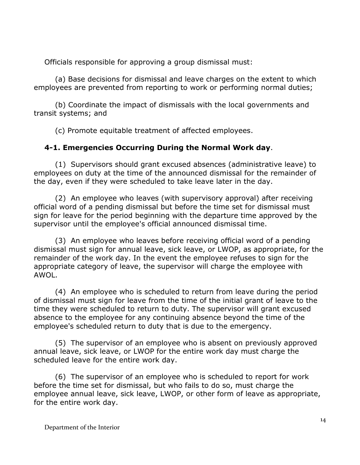Officials responsible for approving a group dismissal must:

(a) Base decisions for dismissal and leave charges on the extent to which employees are prevented from reporting to work or performing normal duties;

(b) Coordinate the impact of dismissals with the local governments and transit systems; and

(c) Promote equitable treatment of affected employees.

# **4-1. Emergencies Occurring During the Normal Work day**.

(1) Supervisors should grant excused absences (administrative leave) to employees on duty at the time of the announced dismissal for the remainder of the day, even if they were scheduled to take leave later in the day.

(2) An employee who leaves (with supervisory approval) after receiving official word of a pending dismissal but before the time set for dismissal must sign for leave for the period beginning with the departure time approved by the supervisor until the employee's official announced dismissal time.

(3) An employee who leaves before receiving official word of a pending dismissal must sign for annual leave, sick leave, or LWOP, as appropriate, for the remainder of the work day. In the event the employee refuses to sign for the appropriate category of leave, the supervisor will charge the employee with AWOL.

(4) An employee who is scheduled to return from leave during the period of dismissal must sign for leave from the time of the initial grant of leave to the time they were scheduled to return to duty. The supervisor will grant excused absence to the employee for any continuing absence beyond the time of the employee's scheduled return to duty that is due to the emergency.

(5) The supervisor of an employee who is absent on previously approved annual leave, sick leave, or LWOP for the entire work day must charge the scheduled leave for the entire work day.

(6) The supervisor of an employee who is scheduled to report for work before the time set for dismissal, but who fails to do so, must charge the employee annual leave, sick leave, LWOP, or other form of leave as appropriate, for the entire work day.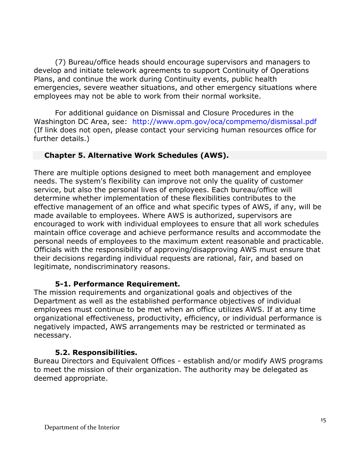(7) Bureau/office heads should encourage supervisors and managers to develop and initiate telework agreements to support Continuity of Operations Plans, and continue the work during Continuity events, public health emergencies, severe weather situations, and other emergency situations where employees may not be able to work from their normal worksite.

For additional guidance on Dismissal and Closure Procedures in the Washington DC Area, see: <http://www.opm.gov/oca/compmemo/dismissal.pdf> (If link does not open, please contact your servicing human resources office for further details.)

# **Chapter 5. Alternative Work Schedules (AWS).**

There are multiple options designed to meet both management and employee needs. The system's flexibility can improve not only the quality of customer service, but also the personal lives of employees. Each bureau/office will determine whether implementation of these flexibilities contributes to the effective management of an office and what specific types of AWS, if any, will be made available to employees. Where AWS is authorized, supervisors are encouraged to work with individual employees to ensure that all work schedules maintain office coverage and achieve performance results and accommodate the personal needs of employees to the maximum extent reasonable and practicable. Officials with the responsibility of approving/disapproving AWS must ensure that their decisions regarding individual requests are rational, fair, and based on legitimate, nondiscriminatory reasons.

# **5-1. Performance Requirement.**

The mission requirements and organizational goals and objectives of the Department as well as the established performance objectives of individual employees must continue to be met when an office utilizes AWS. If at any time organizational effectiveness, productivity, efficiency, or individual performance is negatively impacted, AWS arrangements may be restricted or terminated as necessary.

# **5.2. Responsibilities.**

Bureau Directors and Equivalent Offices - establish and/or modify AWS programs to meet the mission of their organization. The authority may be delegated as deemed appropriate.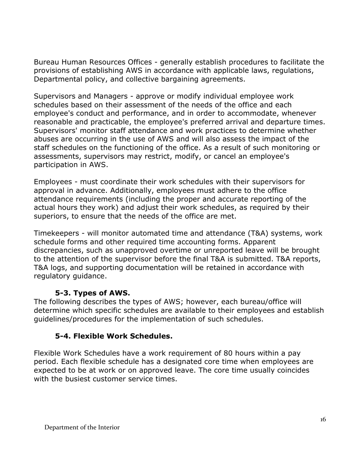Bureau Human Resources Offices - generally establish procedures to facilitate the provisions of establishing AWS in accordance with applicable laws, regulations, Departmental policy, and collective bargaining agreements.

Supervisors and Managers - approve or modify individual employee work schedules based on their assessment of the needs of the office and each employee's conduct and performance, and in order to accommodate, whenever reasonable and practicable, the employee's preferred arrival and departure times. Supervisors' monitor staff attendance and work practices to determine whether abuses are occurring in the use of AWS and will also assess the impact of the staff schedules on the functioning of the office. As a result of such monitoring or assessments, supervisors may restrict, modify, or cancel an employee's participation in AWS.

Employees - must coordinate their work schedules with their supervisors for approval in advance. Additionally, employees must adhere to the office attendance requirements (including the proper and accurate reporting of the actual hours they work) and adjust their work schedules, as required by their superiors, to ensure that the needs of the office are met.

Timekeepers - will monitor automated time and attendance (T&A) systems, work schedule forms and other required time accounting forms. Apparent discrepancies, such as unapproved overtime or unreported leave will be brought to the attention of the supervisor before the final T&A is submitted. T&A reports, T&A logs, and supporting documentation will be retained in accordance with regulatory guidance.

# **5-3. Types of AWS.**

The following describes the types of AWS; however, each bureau/office will determine which specific schedules are available to their employees and establish guidelines/procedures for the implementation of such schedules.

# **5-4. Flexible Work Schedules.**

Flexible Work Schedules have a work requirement of 80 hours within a pay period. Each flexible schedule has a designated core time when employees are expected to be at work or on approved leave. The core time usually coincides with the busiest customer service times.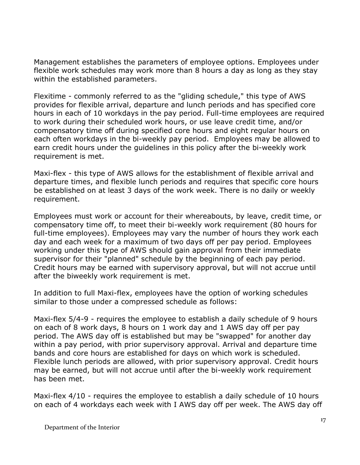Management establishes the parameters of employee options. Employees under flexible work schedules may work more than 8 hours a day as long as they stay within the established parameters.

Flexitime - commonly referred to as the "gliding schedule," this type of AWS provides for flexible arrival, departure and lunch periods and has specified core hours in each of 10 workdays in the pay period. Full-time employees are required to work during their scheduled work hours, or use leave credit time, and/or compensatory time off during specified core hours and eight regular hours on each often workdays in the bi-weekly pay period. Employees may be allowed to earn credit hours under the guidelines in this policy after the bi-weekly work requirement is met.

Maxi-flex - this type of AWS allows for the establishment of flexible arrival and departure times, and flexible lunch periods and requires that specific core hours be established on at least 3 days of the work week. There is no daily or weekly requirement.

Employees must work or account for their whereabouts, by leave, credit time, or compensatory time off, to meet their bi-weekly work requirement (80 hours for full-time employees). Employees may vary the number of hours they work each day and each week for a maximum of two days off per pay period. Employees working under this type of AWS should gain approval from their immediate supervisor for their "planned" schedule by the beginning of each pay period. Credit hours may be earned with supervisory approval, but will not accrue until after the biweekly work requirement is met.

In addition to full Maxi-flex, employees have the option of working schedules similar to those under a compressed schedule as follows:

Maxi-flex 5/4-9 - requires the employee to establish a daily schedule of 9 hours on each of 8 work days, 8 hours on 1 work day and 1 AWS day off per pay period. The AWS day off is established but may be "swapped" for another day within a pay period, with prior supervisory approval. Arrival and departure time bands and core hours are established for days on which work is scheduled. Flexible lunch periods are allowed, with prior supervisory approval. Credit hours may be earned, but will not accrue until after the bi-weekly work requirement has been met.

Maxi-flex 4/10 - requires the employee to establish a daily schedule of 10 hours on each of 4 workdays each week with I AWS day off per week. The AWS day off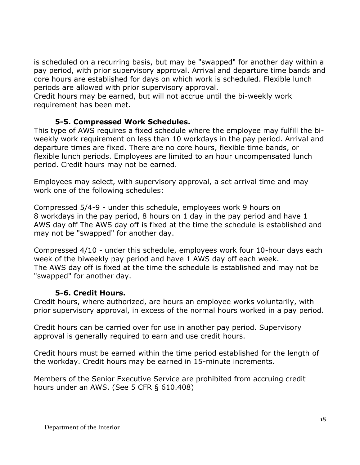is scheduled on a recurring basis, but may be "swapped" for another day within a pay period, with prior supervisory approval. Arrival and departure time bands and core hours are established for days on which work is scheduled. Flexible lunch periods are allowed with prior supervisory approval.

Credit hours may be earned, but will not accrue until the bi-weekly work requirement has been met.

# **5-5. Compressed Work Schedules.**

This type of AWS requires a fixed schedule where the employee may fulfill the biweekly work requirement on less than 10 workdays in the pay period. Arrival and departure times are fixed. There are no core hours, flexible time bands, or flexible lunch periods. Employees are limited to an hour uncompensated lunch period. Credit hours may not be earned.

Employees may select, with supervisory approval, a set arrival time and may work one of the following schedules:

Compressed 5/4-9 - under this schedule, employees work 9 hours on 8 workdays in the pay period, 8 hours on 1 day in the pay period and have 1 AWS day off The AWS day off is fixed at the time the schedule is established and may not be "swapped" for another day.

Compressed 4/10 - under this schedule, employees work four 10-hour days each week of the biweekly pay period and have 1 AWS day off each week. The AWS day off is fixed at the time the schedule is established and may not be "swapped" for another day.

# **5-6. Credit Hours.**

Credit hours, where authorized, are hours an employee works voluntarily, with prior supervisory approval, in excess of the normal hours worked in a pay period.

Credit hours can be carried over for use in another pay period. Supervisory approval is generally required to earn and use credit hours.

Credit hours must be earned within the time period established for the length of the workday. Credit hours may be earned in 15-minute increments.

Members of the Senior Executive Service are prohibited from accruing credit hours under an AWS. (See 5 CFR § 610.408)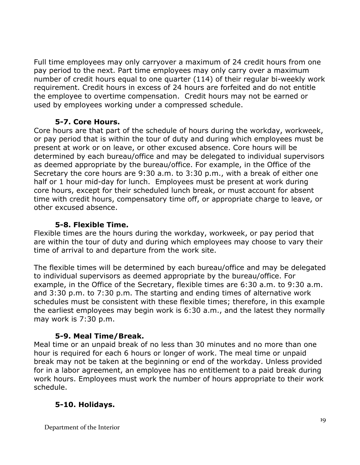Full time employees may only carryover a maximum of 24 credit hours from one pay period to the next. Part time employees may only carry over a maximum number of credit hours equal to one quarter (114) of their regular bi-weekly work requirement. Credit hours in excess of 24 hours are forfeited and do not entitle the employee to overtime compensation. Credit hours may not be earned or used by employees working under a compressed schedule.

# **5-7. Core Hours.**

Core hours are that part of the schedule of hours during the workday, workweek, or pay period that is within the tour of duty and during which employees must be present at work or on leave, or other excused absence. Core hours will be determined by each bureau/office and may be delegated to individual supervisors as deemed appropriate by the bureau/office. For example, in the Office of the Secretary the core hours are 9:30 a.m. to 3:30 p.m., with a break of either one half or 1 hour mid-day for lunch. Employees must be present at work during core hours, except for their scheduled lunch break, or must account for absent time with credit hours, compensatory time off, or appropriate charge to leave, or other excused absence.

# **5-8. Flexible Time.**

Flexible times are the hours during the workday, workweek, or pay period that are within the tour of duty and during which employees may choose to vary their time of arrival to and departure from the work site.

The flexible times will be determined by each bureau/office and may be delegated to individual supervisors as deemed appropriate by the bureau/office. For example, in the Office of the Secretary, flexible times are 6:30 a.m. to 9:30 a.m. and 3:30 p.m. to 7:30 p.m. The starting and ending times of alternative work schedules must be consistent with these flexible times; therefore, in this example the earliest employees may begin work is 6:30 a.m., and the latest they normally may work is 7:30 p.m.

# **5-9. Meal Time/Break.**

Meal time or an unpaid break of no less than 30 minutes and no more than one hour is required for each 6 hours or longer of work. The meal time or unpaid break may not be taken at the beginning or end of the workday. Unless provided for in a labor agreement, an employee has no entitlement to a paid break during work hours. Employees must work the number of hours appropriate to their work schedule.

# **5-10. Holidays.**

Department of the Interior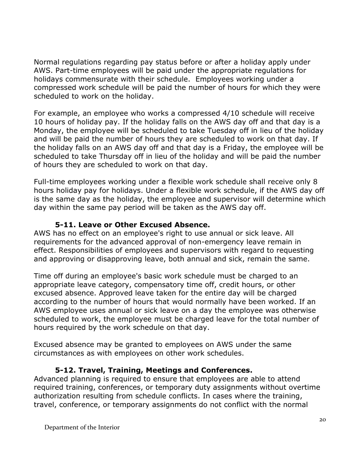Normal regulations regarding pay status before or after a holiday apply under AWS. Part-time employees will be paid under the appropriate regulations for holidays commensurate with their schedule. Employees working under a compressed work schedule will be paid the number of hours for which they were scheduled to work on the holiday.

For example, an employee who works a compressed 4/10 schedule will receive 10 hours of holiday pay. If the holiday falls on the AWS day off and that day is a Monday, the employee will be scheduled to take Tuesday off in lieu of the holiday and will be paid the number of hours they are scheduled to work on that day. If the holiday falls on an AWS day off and that day is a Friday, the employee will be scheduled to take Thursday off in lieu of the holiday and will be paid the number of hours they are scheduled to work on that day.

Full-time employees working under a flexible work schedule shall receive only 8 hours holiday pay for holidays. Under a flexible work schedule, if the AWS day off is the same day as the holiday, the employee and supervisor will determine which day within the same pay period will be taken as the AWS day off.

#### **5-11. Leave or Other Excused Absence.**

AWS has no effect on an employee's right to use annual or sick leave. All requirements for the advanced approval of non-emergency leave remain in effect. Responsibilities of employees and supervisors with regard to requesting and approving or disapproving leave, both annual and sick, remain the same.

Time off during an employee's basic work schedule must be charged to an appropriate leave category, compensatory time off, credit hours, or other excused absence. Approved leave taken for the entire day will be charged according to the number of hours that would normally have been worked. If an AWS employee uses annual or sick leave on a day the employee was otherwise scheduled to work, the employee must be charged leave for the total number of hours required by the work schedule on that day.

Excused absence may be granted to employees on AWS under the same circumstances as with employees on other work schedules.

#### **5-12. Travel, Training, Meetings and Conferences.**

Advanced planning is required to ensure that employees are able to attend required training, conferences, or temporary duty assignments without overtime authorization resulting from schedule conflicts. In cases where the training, travel, conference, or temporary assignments do not conflict with the normal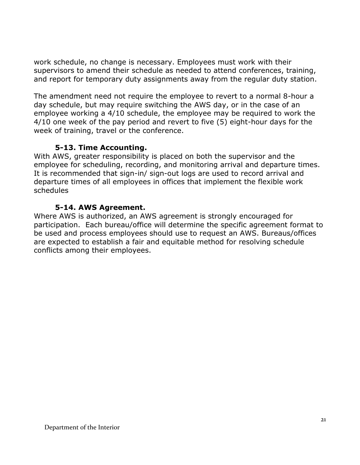work schedule, no change is necessary. Employees must work with their supervisors to amend their schedule as needed to attend conferences, training, and report for temporary duty assignments away from the regular duty station.

The amendment need not require the employee to revert to a normal 8-hour a day schedule, but may require switching the AWS day, or in the case of an employee working a 4/10 schedule, the employee may be required to work the 4/10 one week of the pay period and revert to five (5) eight-hour days for the week of training, travel or the conference.

#### **5-13. Time Accounting.**

With AWS, greater responsibility is placed on both the supervisor and the employee for scheduling, recording, and monitoring arrival and departure times. It is recommended that sign-in/ sign-out logs are used to record arrival and departure times of all employees in offices that implement the flexible work schedules

#### **5-14. AWS Agreement.**

Where AWS is authorized, an AWS agreement is strongly encouraged for participation. Each bureau/office will determine the specific agreement format to be used and process employees should use to request an AWS. Bureaus/offices are expected to establish a fair and equitable method for resolving schedule conflicts among their employees.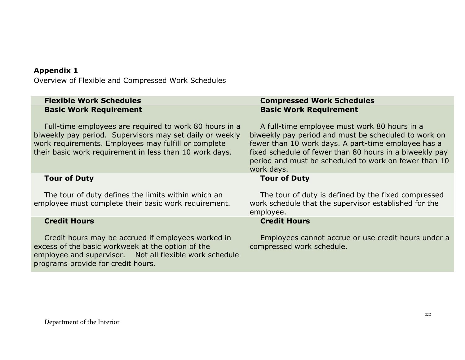#### **Appendix 1**

Overview of Flexible and Compressed Work Schedules

| <b>Flexible Work Schedules</b> |  |
|--------------------------------|--|
| <b>Basic Work Requirement</b>  |  |

Full-time employees are required to work 80 hours in a biweekly pay period. Supervisors may set daily or weekly work requirements. Employees may fulfill or complete their basic work requirement in less than 10 work days.

#### **Tour of Duty**

The tour of duty defines the limits within which an employee must complete their basic work requirement.

#### **Credit Hours**

Credit hours may be accrued if employees worked in excess of the basic workweek at the option of the employee and supervisor. Not all flexible work schedule programs provide for credit hours.

#### **Flexible Work Schedules Compressed Work Schedules Basic Work Requirement**

A full-time employee must work 80 hours in a biweekly pay period and must be scheduled to work on fewer than 10 work days. A part-time employee has a fixed schedule of fewer than 80 hours in a biweekly pay period and must be scheduled to work on fewer than 10 work days.

#### **Tour of Duty**

The tour of duty is defined by the fixed compressed work schedule that the supervisor established for the employee.

#### **Credit Hours**

Employees cannot accrue or use credit hours under a compressed work schedule.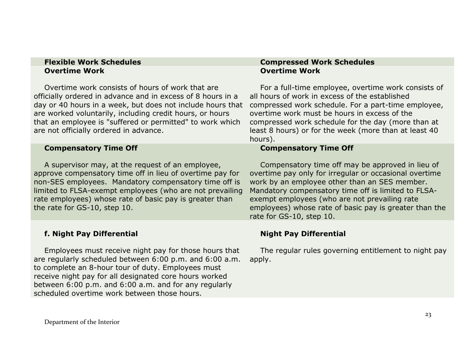# **Overtime Work**

Overtime work consists of hours of work that are officially ordered in advance and in excess of 8 hours in a day or 40 hours in a week, but does not include hours that compressed work schedule. For a part-time employee, are worked voluntarily, including credit hours, or hours that an employee is "suffered or permitted" to work which are not officially ordered in advance.

#### **Compensatory Time Off**

A supervisor may, at the request of an employee, approve compensatory time off in lieu of overtime pay for non-SES employees. Mandatory compensatory time off is limited to FLSA-exempt employees (who are not prevailing rate employees) whose rate of basic pay is greater than the rate for GS-10, step 10.

#### **f. Night Pay Differential**

Employees must receive night pay for those hours that are regularly scheduled between 6:00 p.m. and 6:00 a.m. to complete an 8-hour tour of duty. Employees must receive night pay for all designated core hours worked between 6:00 p.m. and 6:00 a.m. and for any regularly scheduled overtime work between those hours.

#### **Flexible Work Schedules Compressed Work Schedules Overtime Work**

For a full-time employee, overtime work consists of all hours of work in excess of the established overtime work must be hours in excess of the compressed work schedule for the day (more than at least 8 hours) or for the week (more than at least 40 hours).

#### **Compensatory Time Off**

Compensatory time off may be approved in lieu of overtime pay only for irregular or occasional overtime work by an employee other than an SES member. Mandatory compensatory time off is limited to FLSAexempt employees (who are not prevailing rate employees) whose rate of basic pay is greater than the rate for GS-10, step 10.

#### **Night Pay Differential**

The regular rules governing entitlement to night pay apply.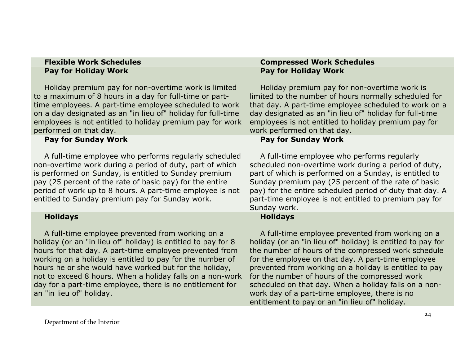# **Pay for Holiday Work**

Holiday premium pay for non-overtime work is limited to a maximum of 8 hours in a day for full-time or parttime employees. A part-time employee scheduled to work on a day designated as an "in lieu of" holiday for full-time employees is not entitled to holiday premium pay for work performed on that day.

#### **Pay for Sunday Work**

A full-time employee who performs regularly scheduled non-overtime work during a period of duty, part of which is performed on Sunday, is entitled to Sunday premium pay (25 percent of the rate of basic pay) for the entire period of work up to 8 hours. A part-time employee is not entitled to Sunday premium pay for Sunday work.

#### **Holidays**

A full-time employee prevented from working on a holiday (or an "in lieu of" holiday) is entitled to pay for 8 hours for that day. A part-time employee prevented from working on a holiday is entitled to pay for the number of hours he or she would have worked but for the holiday, not to exceed 8 hours. When a holiday falls on a non-work day for a part-time employee, there is no entitlement for an "in lieu of" holiday.

#### **Flexible Work Schedules Compressed Work Schedules Pay for Holiday Work**

Holiday premium pay for non-overtime work is limited to the number of hours normally scheduled for that day. A part-time employee scheduled to work on a day designated as an "in lieu of" holiday for full-time employees is not entitled to holiday premium pay for work performed on that day.

# **Pay for Sunday Work**

A full-time employee who performs regularly scheduled non-overtime work during a period of duty, part of which is performed on a Sunday, is entitled to Sunday premium pay (25 percent of the rate of basic pay) for the entire scheduled period of duty that day. A part-time employee is not entitled to premium pay for Sunday work.

# **Holidays**

A full-time employee prevented from working on a holiday (or an "in lieu of" holiday) is entitled to pay for the number of hours of the compressed work schedule for the employee on that day. A part-time employee prevented from working on a holiday is entitled to pay for the number of hours of the compressed work scheduled on that day. When a holiday falls on a nonwork day of a part-time employee, there is no entitlement to pay or an "in lieu of" holiday.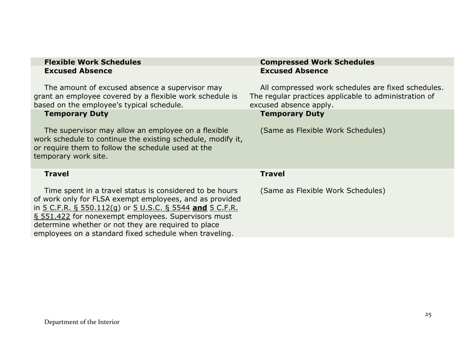|                        | <b>Flexible Work Schedules</b> |
|------------------------|--------------------------------|
| <b>Excused Absence</b> |                                |

The amount of excused absence a supervisor may grant an employee covered by a flexible work schedule is based on the employee's typical schedule.

#### **Temporary Duty**

The supervisor may allow an employee on a flexible work schedule to continue the existing schedule, modify it, or require them to follow the schedule used at the temporary work site.

#### **Travel**

Time spent in a travel status is considered to be hours of work only for FLSA exempt employees, and as provided in 5 C.F.R. § [550.112\(g\)](http://frwebgate.access.gpo.gov/cgi-bin/get-cfr.cgi?TITLE=5&PART=550&SECTION=112&TYPE=TEXT) or [5 U.S.C. § 5544](http://uscode.house.gov/uscode-cgi/fastweb.exe?getdoc+uscview+t05t08+547+0++%28%29%20%20AND%20%28%285%29%20ADJ%20USC%29%3ACITE%20AND%20%28USC%20w%2F10%20%285544%29%29%3ACITE%20%20%20%20%20%20%20%20%20) **and** [5 C.F.R.](http://frwebgate.access.gpo.gov/cgi-bin/get-cfr.cgi?TITLE=5&PART=551&SECTION=422&TYPE=TEXT)  § [551.422](http://frwebgate.access.gpo.gov/cgi-bin/get-cfr.cgi?TITLE=5&PART=551&SECTION=422&TYPE=TEXT) for nonexempt employees. Supervisors must determine whether or not they are required to place employees on a standard fixed schedule when traveling.

#### **Compressed Work Schedules Excused Absence**

All compressed work schedules are fixed schedules. The regular practices applicable to administration of excused absence apply.

#### **Temporary Duty**

(Same as Flexible Work Schedules)

#### **Travel**

(Same as Flexible Work Schedules)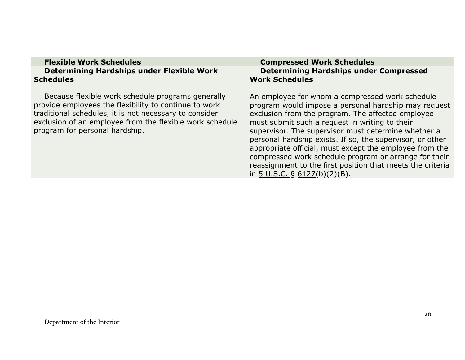#### **Flexible Work Schedules Compressed Work Schedules Determining Hardships under Flexible Work Schedules**

Because flexible work schedule programs generally provide employees the flexibility to continue to work traditional schedules, it is not necessary to consider exclusion of an employee from the flexible work schedule program for personal hardship.

# **Determining Hardships under Compressed Work Schedules**

An employee for whom a compressed work schedule program would impose a personal hardship may request exclusion from the program. The affected employee must submit such a request in writing to their supervisor. The supervisor must determine whether a personal hardship exists. If so, the supervisor, or other appropriate official, must except the employee from the compressed work schedule program or arrange for their reassignment to the first position that meets the criteria in  $5 \text{ U.S.C. }$ § 6127(b)(2)(B).